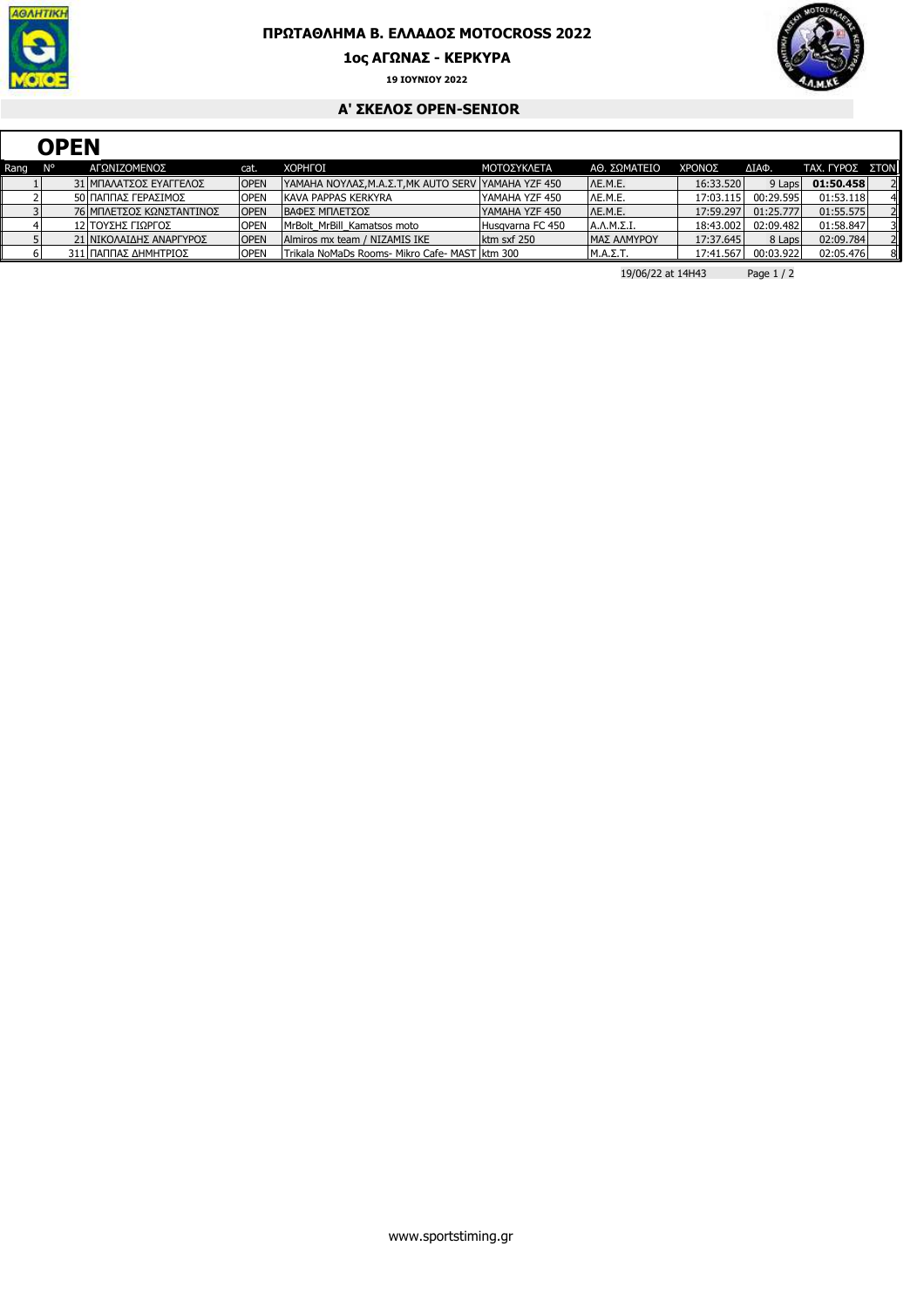

## **ΠΡΩΤΑΘΛΗΜΑ Β. ΕΛΛΑ∆ΟΣ MOTOCROSS 2022**

**1ος ΑΓΩΝΑΣ - ΚΕΡΚΥΡΑ**



**19 ΙΟΥΝΙΟΥ 2022**

## **A' ΣΚΕΛΟΣ OPEN-SENIOR**

|      | <b>OPEN</b> |  |                          |             |                                                     |                  |                 |           |           |                        |                |
|------|-------------|--|--------------------------|-------------|-----------------------------------------------------|------------------|-----------------|-----------|-----------|------------------------|----------------|
| Rang | N°          |  | ΑΓΩΝΙΖΟΜΕΝΟΣ             | cat.        | <b>XOPHFOI</b>                                      | ΜΟΤΟΣΥΚΛΕΤΑ      | ΑΘ. ΣΩΜΑΤΕΙΟ    | ΧΡΟΝΟΣ    | ΔΙΑΦ.     | <b>ΤΑΧ. ΓΥΡΟΣ ΣΤΟΝ</b> |                |
|      |             |  | 31 ΜΠΑΛΑΤΣΟΣ ΕΥΑΓΓΕΛΟΣ   | <b>OPEN</b> | YAMAHA NOYΛΑΣ, Μ.Α.Σ.Τ, ΜΚ AUTO SERV YAMAHA YZF 450 |                  | IAE.M.E.        | 16:33.520 | 9 Laps    | 01:50.458              |                |
|      |             |  | 50 ΠΑΠΠΑΣ ΓΕΡΑΣΙΜΟΣ      | <b>OPEN</b> | KAVA PAPPAS KERKYRA                                 | YAMAHA YZF 450   | IAE.M.E.        | 17:03.115 | 00:29.595 | 01:53.118              |                |
|      |             |  | 76 ΜΠΛΕΤΣΟΣ ΚΩΝΣΤΑΝΤΙΝΟΣ | <b>OPEN</b> | ΙΒΑΦΕΣ ΜΠΛΕΤΣΟΣ                                     | YAMAHA YZF 450   | IAE.M.E.        | 17:59.297 | 01:25.777 | 01:55.575              |                |
|      |             |  | 12 ΤΟΥΣΗΣ ΓΙΩΡΓΟΣ        | <b>OPEN</b> | MrBolt MrBill Kamatsos moto                         | Husgyarna FC 450 | Α.Λ.Μ.Σ.Ι.      | 18:43.002 | 02:09.482 | 01:58.847              |                |
|      |             |  | 21 ΝΙΚΟΛΑΙΔΗΣ ΑΝΑΡΓΥΡΟΣ  | <b>OPEN</b> | Almiros mx team / NIZAMIS IKE                       | ktm sxf 250      | ΙΜΑΣ ΑΛΜΥΡΟΥ    | 17:37.645 | 8 Laps    | 02:09.784              |                |
|      |             |  | 311 ΠΑΠΠΑΣ ΔΗΜΗΤΡΙΟΣ     | <b>OPEN</b> | Trikala NoMaDs Rooms- Mikro Cafe- MAST   ktm 300    |                  | $M.A.\Sigma.T.$ | 17:41.567 | 00:03.922 | 02:05.476              | 8 <sup>1</sup> |

19/06/22 at 14H43 Page 1 / 2